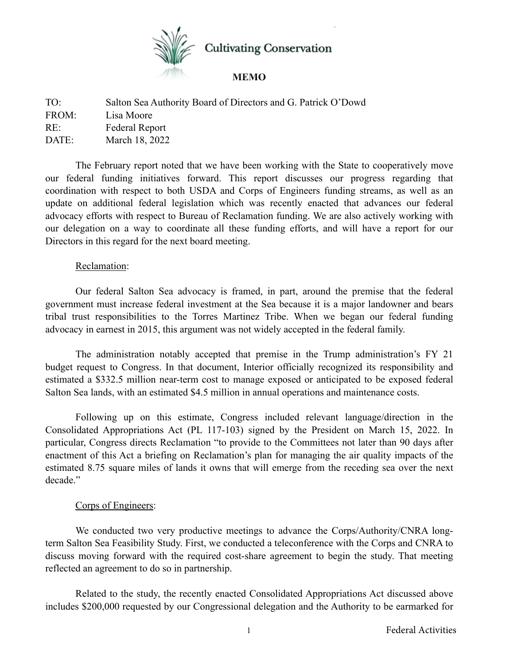

TO: Salton Sea Authority Board of Directors and G. Patrick O'Dowd FROM: Lisa Moore RE: Federal Report DATE: March 18, 2022

The February report noted that we have been working with the State to cooperatively move our federal funding initiatives forward. This report discusses our progress regarding that coordination with respect to both USDA and Corps of Engineers funding streams, as well as an update on additional federal legislation which was recently enacted that advances our federal advocacy efforts with respect to Bureau of Reclamation funding. We are also actively working with our delegation on a way to coordinate all these funding efforts, and will have a report for our Directors in this regard for the next board meeting.

## Reclamation:

Our federal Salton Sea advocacy is framed, in part, around the premise that the federal government must increase federal investment at the Sea because it is a major landowner and bears tribal trust responsibilities to the Torres Martinez Tribe. When we began our federal funding advocacy in earnest in 2015, this argument was not widely accepted in the federal family.

The administration notably accepted that premise in the Trump administration's FY 21 budget request to Congress. In that document, Interior officially recognized its responsibility and estimated a \$332.5 million near-term cost to manage exposed or anticipated to be exposed federal Salton Sea lands, with an estimated \$4.5 million in annual operations and maintenance costs.

Following up on this estimate, Congress included relevant language/direction in the Consolidated Appropriations Act (PL 117-103) signed by the President on March 15, 2022. In particular, Congress directs Reclamation "to provide to the Committees not later than 90 days after enactment of this Act a briefing on Reclamation's plan for managing the air quality impacts of the estimated 8.75 square miles of lands it owns that will emerge from the receding sea over the next decade."

## Corps of Engineers:

We conducted two very productive meetings to advance the Corps/Authority/CNRA longterm Salton Sea Feasibility Study. First, we conducted a teleconference with the Corps and CNRA to discuss moving forward with the required cost-share agreement to begin the study. That meeting reflected an agreement to do so in partnership.

Related to the study, the recently enacted Consolidated Appropriations Act discussed above includes \$200,000 requested by our Congressional delegation and the Authority to be earmarked for